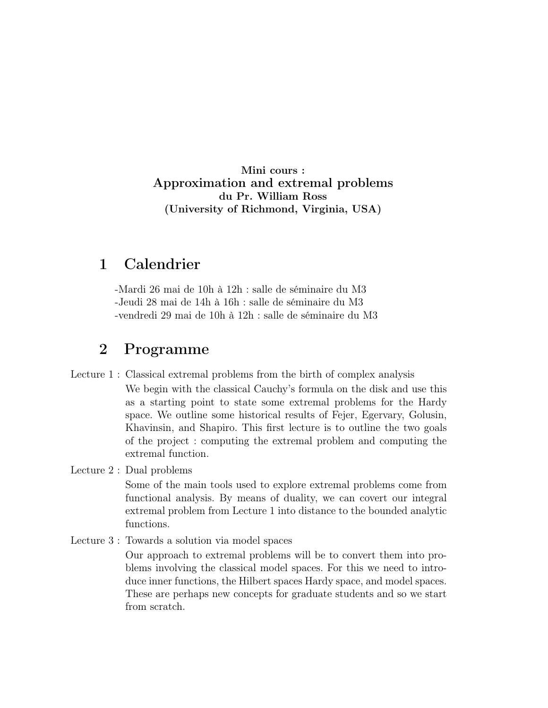Mini cours : Approximation and extremal problems du Pr. William Ross (University of Richmond, Virginia, USA)

## 1 Calendrier

-Mardi 26 mai de 10h à 12h : salle de séminaire du M3 -Jeudi 28 mai de 14h à 16h : salle de séminaire du M3 -vendredi 29 mai de 10h à 12h : salle de séminaire du M3

## 2 Programme

Lecture 1 : Classical extremal problems from the birth of complex analysis

We begin with the classical Cauchy's formula on the disk and use this as a starting point to state some extremal problems for the Hardy space. We outline some historical results of Fejer, Egervary, Golusin, Khavinsin, and Shapiro. This first lecture is to outline the two goals of the project : computing the extremal problem and computing the extremal function.

Lecture 2 : Dual problems

Some of the main tools used to explore extremal problems come from functional analysis. By means of duality, we can covert our integral extremal problem from Lecture 1 into distance to the bounded analytic functions.

Lecture 3 : Towards a solution via model spaces

Our approach to extremal problems will be to convert them into problems involving the classical model spaces. For this we need to introduce inner functions, the Hilbert spaces Hardy space, and model spaces. These are perhaps new concepts for graduate students and so we start from scratch.